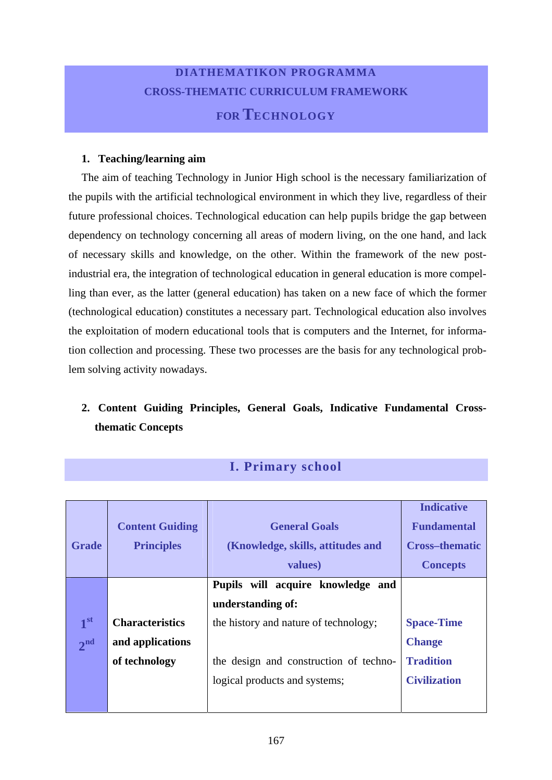## **DIATHEMATIKON PROGRAMMA CROSS-THEMATIC CURRICULUM FRAMEWORK FOR TECHNOLOGY**

#### **1. Teaching/learning aim**

The aim of teaching Technology in Junior High school is the necessary familiarization of the pupils with the artificial technological environment in which they live, regardless of their future professional choices. Technological education can help pupils bridge the gap between dependency on technology concerning all areas of modern living, on the one hand, and lack of necessary skills and knowledge, on the other. Within the framework of the new postindustrial era, the integration of technological education in general education is more compelling than ever, as the latter (general education) has taken on a new face of which the former (technological education) constitutes a necessary part. Technological education also involves the exploitation of modern educational tools that is computers and the Internet, for information collection and processing. These two processes are the basis for any technological problem solving activity nowadays.

### **2. Content Guiding Principles, General Goals, Indicative Fundamental Crossthematic Concepts**

| <b>Grade</b>    | <b>Content Guiding</b><br><b>Principles</b> | <b>General Goals</b><br>(Knowledge, skills, attitudes and<br>values) | <b>Indicative</b><br><b>Fundamental</b><br><b>Cross-thematic</b><br><b>Concepts</b> |
|-----------------|---------------------------------------------|----------------------------------------------------------------------|-------------------------------------------------------------------------------------|
|                 |                                             | Pupils will acquire knowledge and                                    |                                                                                     |
|                 |                                             | understanding of:                                                    |                                                                                     |
| 1 <sup>st</sup> | <b>Characteristics</b>                      | the history and nature of technology;                                | <b>Space-Time</b>                                                                   |
| 2 <sup>nd</sup> | and applications                            |                                                                      | <b>Change</b>                                                                       |
|                 | of technology                               | the design and construction of techno-                               | <b>Tradition</b>                                                                    |
|                 |                                             | logical products and systems;                                        | <b>Civilization</b>                                                                 |
|                 |                                             |                                                                      |                                                                                     |

### **I. Primary school**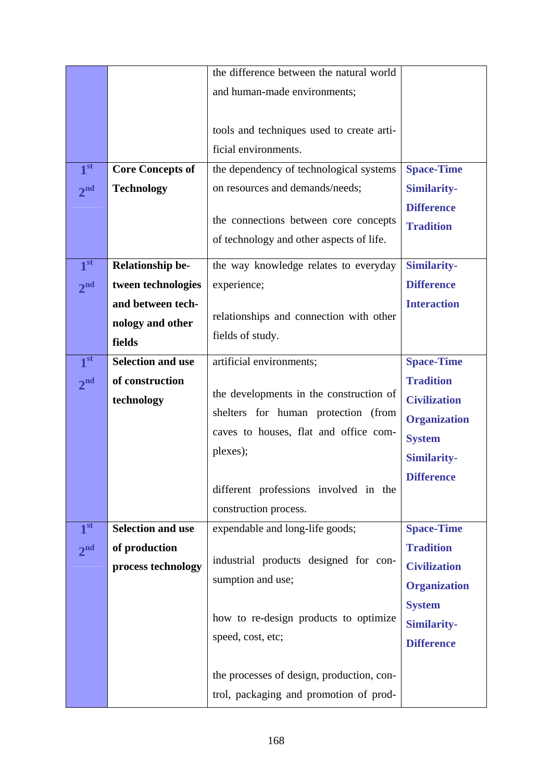|                 |                          | the difference between the natural world  |                     |
|-----------------|--------------------------|-------------------------------------------|---------------------|
|                 |                          | and human-made environments;              |                     |
|                 |                          |                                           |                     |
|                 |                          | tools and techniques used to create arti- |                     |
|                 |                          | ficial environments.                      |                     |
| 1 <sup>st</sup> | <b>Core Concepts of</b>  | the dependency of technological systems   | <b>Space-Time</b>   |
| 2 <sup>nd</sup> | <b>Technology</b>        | on resources and demands/needs;           | <b>Similarity-</b>  |
|                 |                          |                                           | <b>Difference</b>   |
|                 |                          | the connections between core concepts     | <b>Tradition</b>    |
|                 |                          | of technology and other aspects of life.  |                     |
| 1 <sup>st</sup> | <b>Relationship be-</b>  | the way knowledge relates to everyday     | Similarity-         |
| 2 <sup>nd</sup> | tween technologies       | experience;                               | <b>Difference</b>   |
|                 | and between tech-        |                                           | <b>Interaction</b>  |
|                 | nology and other         | relationships and connection with other   |                     |
|                 | fields                   | fields of study.                          |                     |
| 1 <sup>st</sup> | <b>Selection and use</b> | artificial environments;                  | <b>Space-Time</b>   |
| 2 <sup>nd</sup> | of construction          |                                           | <b>Tradition</b>    |
|                 | technology               | the developments in the construction of   | <b>Civilization</b> |
|                 |                          | shelters for human protection (from       | <b>Organization</b> |
|                 |                          | caves to houses, flat and office com-     | <b>System</b>       |
|                 |                          | plexes);                                  | <b>Similarity-</b>  |
|                 |                          |                                           | <b>Difference</b>   |
|                 |                          | different professions involved in the     |                     |
|                 |                          | construction process.                     |                     |
| 1 <sup>st</sup> | <b>Selection and use</b> | expendable and long-life goods;           | <b>Space-Time</b>   |
| 2 <sup>nd</sup> | of production            |                                           | <b>Tradition</b>    |
|                 | process technology       | industrial products designed for con-     | <b>Civilization</b> |
|                 |                          | sumption and use;                         | <b>Organization</b> |
|                 |                          |                                           | <b>System</b>       |
|                 |                          | how to re-design products to optimize     | <b>Similarity-</b>  |
|                 |                          | speed, cost, etc;                         | <b>Difference</b>   |
|                 |                          |                                           |                     |
|                 |                          | the processes of design, production, con- |                     |
|                 |                          | trol, packaging and promotion of prod-    |                     |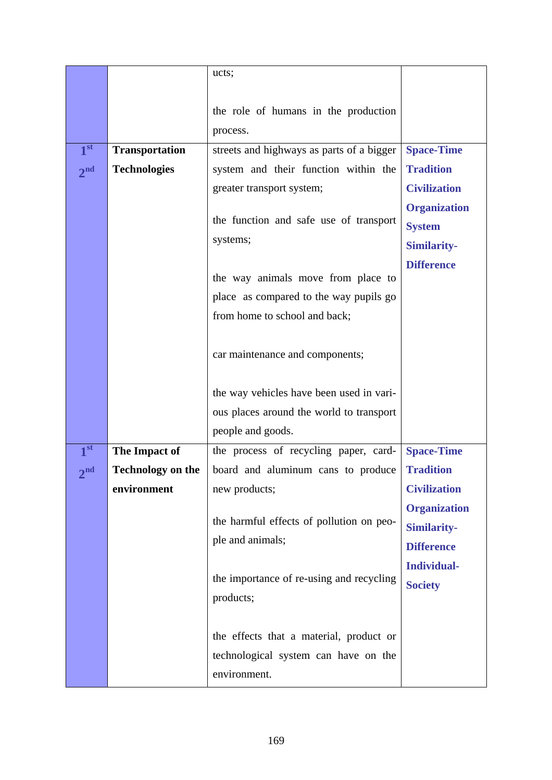|                 |                          | ucts;                                     |                     |
|-----------------|--------------------------|-------------------------------------------|---------------------|
|                 |                          |                                           |                     |
|                 |                          | the role of humans in the production      |                     |
|                 |                          | process.                                  |                     |
| 1 <sup>st</sup> | <b>Transportation</b>    | streets and highways as parts of a bigger | <b>Space-Time</b>   |
| 2 <sup>nd</sup> | <b>Technologies</b>      | system and their function within the      | <b>Tradition</b>    |
|                 |                          | greater transport system;                 | <b>Civilization</b> |
|                 |                          |                                           | <b>Organization</b> |
|                 |                          | the function and safe use of transport    | <b>System</b>       |
|                 |                          | systems;                                  | <b>Similarity-</b>  |
|                 |                          |                                           | <b>Difference</b>   |
|                 |                          | the way animals move from place to        |                     |
|                 |                          | place as compared to the way pupils go    |                     |
|                 |                          | from home to school and back;             |                     |
|                 |                          | car maintenance and components;           |                     |
|                 |                          |                                           |                     |
|                 |                          | the way vehicles have been used in vari-  |                     |
|                 |                          | ous places around the world to transport  |                     |
|                 |                          | people and goods.                         |                     |
| 1 <sup>st</sup> | The Impact of            | the process of recycling paper, card-     | <b>Space-Time</b>   |
| 2 <sub>nd</sub> | <b>Technology on the</b> | board and aluminum cans to produce        | <b>Tradition</b>    |
|                 | environment              | new products;                             | <b>Civilization</b> |
|                 |                          |                                           | <b>Organization</b> |
|                 |                          | the harmful effects of pollution on peo-  | <b>Similarity-</b>  |
|                 |                          | ple and animals;                          | <b>Difference</b>   |
|                 |                          |                                           | <b>Individual-</b>  |
|                 |                          | the importance of re-using and recycling  | <b>Society</b>      |
|                 |                          | products;                                 |                     |
|                 |                          |                                           |                     |
|                 |                          | the effects that a material, product or   |                     |
|                 |                          | technological system can have on the      |                     |
|                 |                          | environment.                              |                     |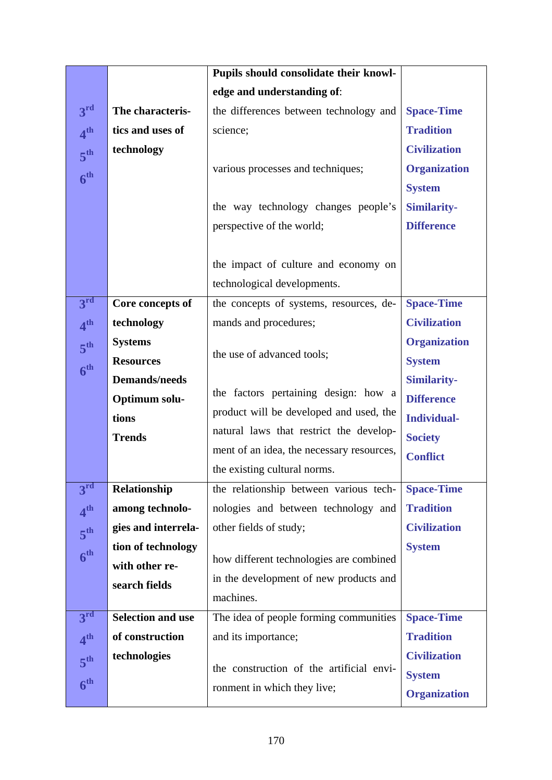|                 |                                 | Pupils should consolidate their knowl-    |                     |
|-----------------|---------------------------------|-------------------------------------------|---------------------|
|                 |                                 | edge and understanding of:                |                     |
| 3 <sup>rd</sup> | The characteris-                | the differences between technology and    | <b>Space-Time</b>   |
| 4 <sup>th</sup> | tics and uses of                | science;                                  | <b>Tradition</b>    |
| 5 <sup>th</sup> | technology                      |                                           | <b>Civilization</b> |
| 6 <sup>th</sup> |                                 | various processes and techniques;         | <b>Organization</b> |
|                 |                                 |                                           | <b>System</b>       |
|                 |                                 | the way technology changes people's       | <b>Similarity-</b>  |
|                 |                                 | perspective of the world;                 | <b>Difference</b>   |
|                 |                                 |                                           |                     |
|                 |                                 | the impact of culture and economy on      |                     |
|                 |                                 | technological developments.               |                     |
| 3 <sup>rd</sup> | Core concepts of                | the concepts of systems, resources, de-   | <b>Space-Time</b>   |
| 4 <sup>th</sup> | technology                      | mands and procedures;                     | <b>Civilization</b> |
| 5 <sup>th</sup> | <b>Systems</b>                  |                                           | <b>Organization</b> |
| 6 <sup>th</sup> | <b>Resources</b>                | the use of advanced tools;                | <b>System</b>       |
|                 | <b>Demands/needs</b>            |                                           | <b>Similarity-</b>  |
|                 | Optimum solu-                   | the factors pertaining design: how a      | <b>Difference</b>   |
|                 | tions                           | product will be developed and used, the   | <b>Individual-</b>  |
|                 | <b>Trends</b>                   | natural laws that restrict the develop-   | <b>Society</b>      |
|                 |                                 | ment of an idea, the necessary resources, | <b>Conflict</b>     |
| 3 <sup>rd</sup> |                                 | the existing cultural norms.              |                     |
|                 | Relationship                    | the relationship between various tech-    | <b>Space-Time</b>   |
| 4 <sup>th</sup> | among technolo-                 | nologies and between technology and       | <b>Tradition</b>    |
| 5 <sup>th</sup> | gies and interrela-             | other fields of study;                    | <b>Civilization</b> |
| 6 <sup>th</sup> | tion of technology              | how different technologies are combined   | <b>System</b>       |
|                 | with other re-<br>search fields | in the development of new products and    |                     |
|                 |                                 | machines.                                 |                     |
| 3 <sup>rd</sup> | <b>Selection and use</b>        | The idea of people forming communities    | <b>Space-Time</b>   |
| 4 <sup>th</sup> | of construction                 | and its importance;                       | <b>Tradition</b>    |
| 5 <sup>th</sup> | technologies                    |                                           | <b>Civilization</b> |
|                 |                                 | the construction of the artificial envi-  | <b>System</b>       |
| 6 <sup>th</sup> |                                 | ronment in which they live;               | <b>Organization</b> |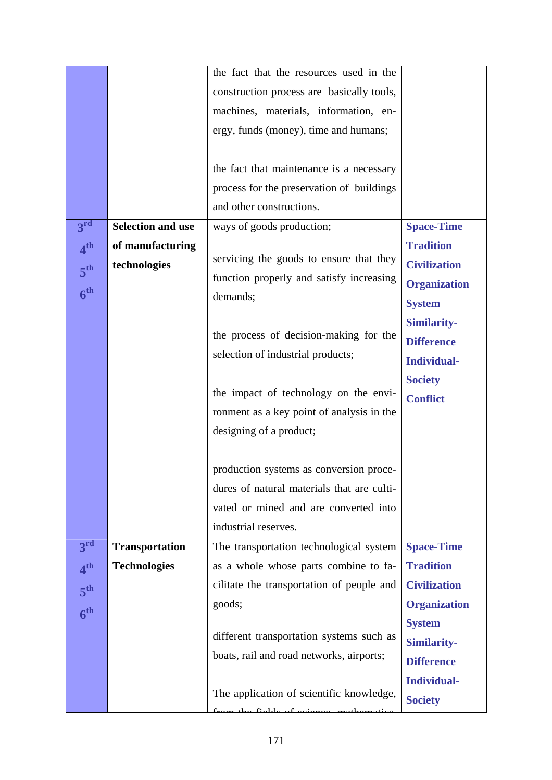|                 |                          | the fact that the resources used in the    |                     |
|-----------------|--------------------------|--------------------------------------------|---------------------|
|                 |                          | construction process are basically tools,  |                     |
|                 |                          | machines, materials, information, en-      |                     |
|                 |                          | ergy, funds (money), time and humans;      |                     |
|                 |                          |                                            |                     |
|                 |                          | the fact that maintenance is a necessary   |                     |
|                 |                          | process for the preservation of buildings  |                     |
|                 |                          | and other constructions.                   |                     |
| 3 <sup>rd</sup> | <b>Selection and use</b> | ways of goods production;                  | <b>Space-Time</b>   |
| 4 <sup>th</sup> | of manufacturing         |                                            | <b>Tradition</b>    |
|                 | technologies             | servicing the goods to ensure that they    | <b>Civilization</b> |
| 5 <sup>th</sup> |                          | function properly and satisfy increasing   | <b>Organization</b> |
| 6 <sup>th</sup> |                          | demands;                                   | <b>System</b>       |
|                 |                          |                                            | <b>Similarity-</b>  |
|                 |                          | the process of decision-making for the     | <b>Difference</b>   |
|                 |                          | selection of industrial products;          | <b>Individual-</b>  |
|                 |                          |                                            |                     |
|                 |                          | the impact of technology on the envi-      | <b>Society</b>      |
|                 |                          | ronment as a key point of analysis in the  | <b>Conflict</b>     |
|                 |                          | designing of a product;                    |                     |
|                 |                          |                                            |                     |
|                 |                          | production systems as conversion proce-    |                     |
|                 |                          | dures of natural materials that are culti- |                     |
|                 |                          | vated or mined and are converted into      |                     |
|                 |                          | industrial reserves.                       |                     |
|                 |                          |                                            |                     |
| 3 <sup>rd</sup> | <b>Transportation</b>    | The transportation technological system    | <b>Space-Time</b>   |
| 4 <sup>th</sup> | <b>Technologies</b>      | as a whole whose parts combine to fa-      | <b>Tradition</b>    |
| 5 <sup>th</sup> |                          | cilitate the transportation of people and  | <b>Civilization</b> |
| 6 <sup>th</sup> |                          | goods;                                     | <b>Organization</b> |
|                 |                          | different transportation systems such as   | <b>System</b>       |
|                 |                          |                                            | <b>Similarity-</b>  |
|                 |                          | boats, rail and road networks, airports;   | <b>Difference</b>   |
|                 |                          |                                            | <b>Individual-</b>  |
|                 |                          | The application of scientific knowledge,   | <b>Society</b>      |
|                 |                          | the fields of science                      |                     |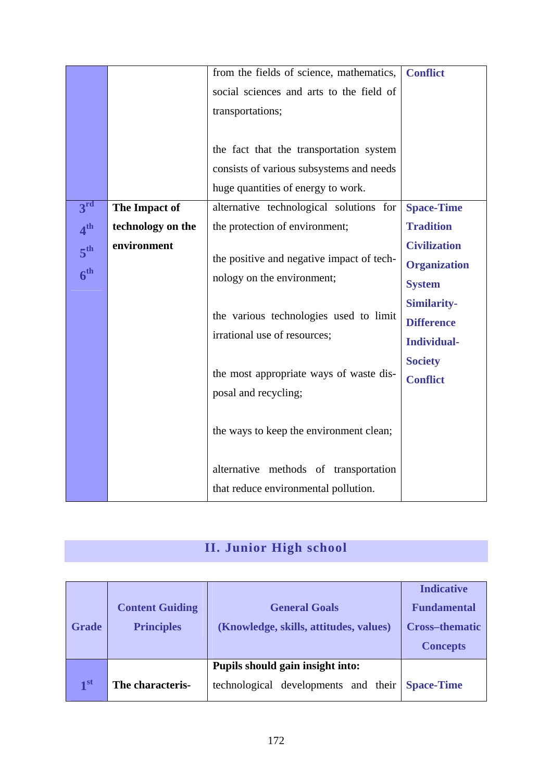|                 |                   | from the fields of science, mathematics,  | <b>Conflict</b>     |
|-----------------|-------------------|-------------------------------------------|---------------------|
|                 |                   | social sciences and arts to the field of  |                     |
|                 |                   | transportations;                          |                     |
|                 |                   |                                           |                     |
|                 |                   | the fact that the transportation system   |                     |
|                 |                   | consists of various subsystems and needs  |                     |
|                 |                   | huge quantities of energy to work.        |                     |
| 3 <sup>rd</sup> | The Impact of     | alternative technological solutions for   | <b>Space-Time</b>   |
| 4 <sup>th</sup> | technology on the | the protection of environment;            | <b>Tradition</b>    |
| 5 <sup>th</sup> | environment       |                                           | <b>Civilization</b> |
|                 |                   | the positive and negative impact of tech- | <b>Organization</b> |
| 6 <sup>th</sup> |                   | nology on the environment;                | <b>System</b>       |
|                 |                   |                                           | <b>Similarity-</b>  |
|                 |                   | the various technologies used to limit    | <b>Difference</b>   |
|                 |                   | irrational use of resources;              | <b>Individual-</b>  |
|                 |                   |                                           | <b>Society</b>      |
|                 |                   | the most appropriate ways of waste dis-   | <b>Conflict</b>     |
|                 |                   | posal and recycling;                      |                     |
|                 |                   |                                           |                     |
|                 |                   | the ways to keep the environment clean;   |                     |
|                 |                   |                                           |                     |
|                 |                   | alternative methods of transportation     |                     |
|                 |                   | that reduce environmental pollution.      |                     |

# **II. Junior High school**

|                 |                        |                                        | <b>Indicative</b>     |
|-----------------|------------------------|----------------------------------------|-----------------------|
|                 | <b>Content Guiding</b> | <b>General Goals</b>                   | <b>Fundamental</b>    |
| <b>Grade</b>    | <b>Principles</b>      | (Knowledge, skills, attitudes, values) | <b>Cross-thematic</b> |
|                 |                        |                                        | <b>Concepts</b>       |
|                 |                        | Pupils should gain insight into:       |                       |
| 1 <sup>st</sup> | The characteris-       | technological developments and their   | <b>Space-Time</b>     |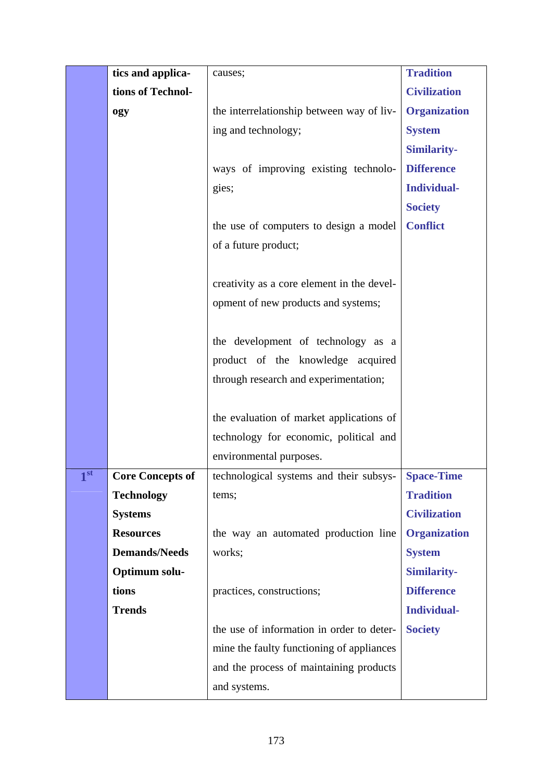|                | tics and applica-       | causes;                                            | <b>Tradition</b>    |
|----------------|-------------------------|----------------------------------------------------|---------------------|
|                | tions of Technol-       |                                                    | <b>Civilization</b> |
|                | ogy                     | the interrelationship between way of liv-          | <b>Organization</b> |
|                |                         | ing and technology;                                | <b>System</b>       |
|                |                         |                                                    | <b>Similarity-</b>  |
|                |                         | ways of improving existing technolo-               | <b>Difference</b>   |
|                |                         | gies;                                              | <b>Individual-</b>  |
|                |                         |                                                    | <b>Society</b>      |
|                |                         | the use of computers to design a model             | <b>Conflict</b>     |
|                |                         | of a future product;                               |                     |
|                |                         |                                                    |                     |
|                |                         | creativity as a core element in the devel-         |                     |
|                |                         | opment of new products and systems;                |                     |
|                |                         |                                                    |                     |
|                |                         | the development of technology as a                 |                     |
|                |                         | product of the knowledge acquired                  |                     |
|                |                         | through research and experimentation;              |                     |
|                |                         |                                                    |                     |
|                |                         | the evaluation of market applications of           |                     |
|                |                         | technology for economic, political and             |                     |
|                |                         | environmental purposes.                            |                     |
| $\blacksquare$ | <b>Core Concepts of</b> | technological systems and their subsys- Space-Time |                     |
|                | <b>Technology</b>       | tems;                                              | <b>Tradition</b>    |
|                | <b>Systems</b>          |                                                    | <b>Civilization</b> |
|                | <b>Resources</b>        | the way an automated production line               | <b>Organization</b> |
|                | <b>Demands/Needs</b>    | works;                                             | <b>System</b>       |
|                | Optimum solu-           |                                                    | <b>Similarity-</b>  |
|                | tions                   | practices, constructions;                          | <b>Difference</b>   |
|                | <b>Trends</b>           |                                                    | <b>Individual-</b>  |
|                |                         | the use of information in order to deter-          | <b>Society</b>      |
|                |                         | mine the faulty functioning of appliances          |                     |
|                |                         | and the process of maintaining products            |                     |
|                |                         | and systems.                                       |                     |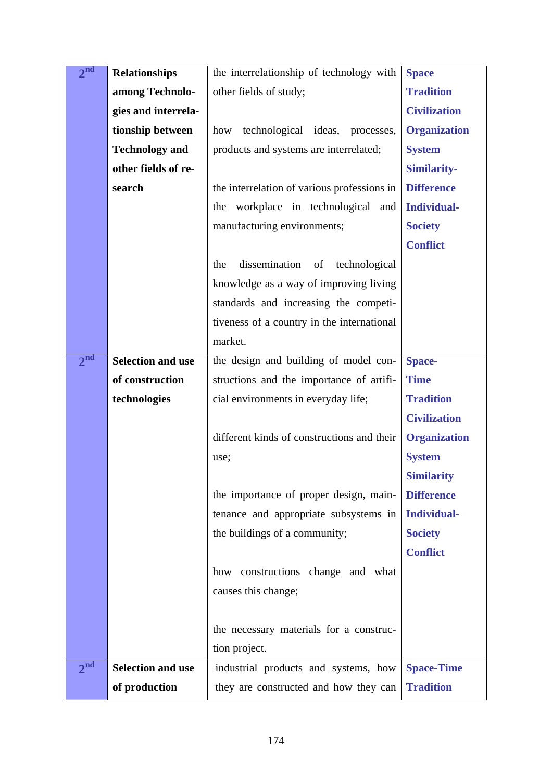| 2 <sup>nd</sup> | <b>Relationships</b>     | the interrelationship of technology with    | <b>Space</b>        |
|-----------------|--------------------------|---------------------------------------------|---------------------|
|                 | among Technolo-          | other fields of study;                      | <b>Tradition</b>    |
|                 | gies and interrela-      |                                             | <b>Civilization</b> |
|                 | tionship between         | technological ideas, processes,<br>how      | <b>Organization</b> |
|                 | <b>Technology and</b>    | products and systems are interrelated;      | <b>System</b>       |
|                 | other fields of re-      |                                             | Similarity-         |
|                 | search                   | the interrelation of various professions in | <b>Difference</b>   |
|                 |                          | the workplace in technological and          | <b>Individual-</b>  |
|                 |                          | manufacturing environments;                 | <b>Society</b>      |
|                 |                          |                                             | <b>Conflict</b>     |
|                 |                          | dissemination<br>the<br>of<br>technological |                     |
|                 |                          | knowledge as a way of improving living      |                     |
|                 |                          | standards and increasing the competi-       |                     |
|                 |                          | tiveness of a country in the international  |                     |
|                 |                          | market.                                     |                     |
| 2 <sup>nd</sup> | <b>Selection and use</b> | the design and building of model con-       | <b>Space-</b>       |
|                 | of construction          | structions and the importance of artifi-    | <b>Time</b>         |
|                 | technologies             | cial environments in everyday life;         | <b>Tradition</b>    |
|                 |                          |                                             | <b>Civilization</b> |
|                 |                          | different kinds of constructions and their  | <b>Organization</b> |
|                 |                          | use;                                        | <b>System</b>       |
|                 |                          |                                             | <b>Similarity</b>   |
|                 |                          | the importance of proper design, main-      | <b>Difference</b>   |
|                 |                          | tenance and appropriate subsystems in       | <b>Individual-</b>  |
|                 |                          | the buildings of a community;               | <b>Society</b>      |
|                 |                          |                                             | <b>Conflict</b>     |
|                 |                          | how constructions change and what           |                     |
|                 |                          | causes this change;                         |                     |
|                 |                          |                                             |                     |
|                 |                          | the necessary materials for a construc-     |                     |
|                 |                          | tion project.                               |                     |
| 2 <sup>nd</sup> | <b>Selection and use</b> | industrial products and systems, how        | <b>Space-Time</b>   |
|                 | of production            | they are constructed and how they can       | <b>Tradition</b>    |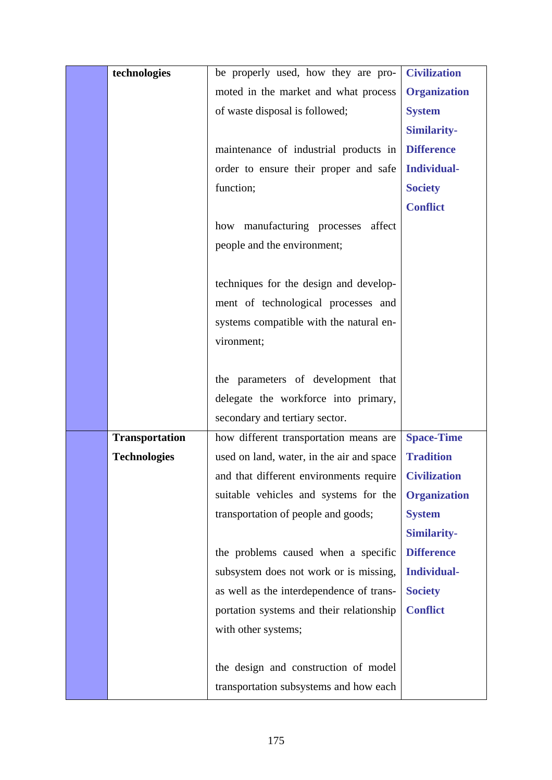| technologies          | be properly used, how they are pro-       | <b>Civilization</b> |
|-----------------------|-------------------------------------------|---------------------|
|                       | moted in the market and what process      | <b>Organization</b> |
|                       | of waste disposal is followed;            | <b>System</b>       |
|                       |                                           | <b>Similarity-</b>  |
|                       | maintenance of industrial products in     | <b>Difference</b>   |
|                       | order to ensure their proper and safe     | <b>Individual-</b>  |
|                       | function;                                 | <b>Society</b>      |
|                       |                                           | <b>Conflict</b>     |
|                       | manufacturing processes<br>affect<br>how  |                     |
|                       | people and the environment;               |                     |
|                       |                                           |                     |
|                       | techniques for the design and develop-    |                     |
|                       | ment of technological processes and       |                     |
|                       | systems compatible with the natural en-   |                     |
|                       | vironment;                                |                     |
|                       |                                           |                     |
|                       | the parameters of development that        |                     |
|                       | delegate the workforce into primary,      |                     |
|                       | secondary and tertiary sector.            |                     |
| <b>Transportation</b> | how different transportation means are    | <b>Space-Time</b>   |
| <b>Technologies</b>   | used on land, water, in the air and space | <b>Tradition</b>    |
|                       | and that different environments require   | <b>Civilization</b> |
|                       | suitable vehicles and systems for the     | <b>Organization</b> |
|                       | transportation of people and goods;       | <b>System</b>       |
|                       |                                           | <b>Similarity-</b>  |
|                       | the problems caused when a specific       | <b>Difference</b>   |
|                       | subsystem does not work or is missing,    | <b>Individual-</b>  |
|                       | as well as the interdependence of trans-  | <b>Society</b>      |
|                       | portation systems and their relationship  | <b>Conflict</b>     |
|                       | with other systems;                       |                     |
|                       |                                           |                     |
|                       | the design and construction of model      |                     |
|                       | transportation subsystems and how each    |                     |